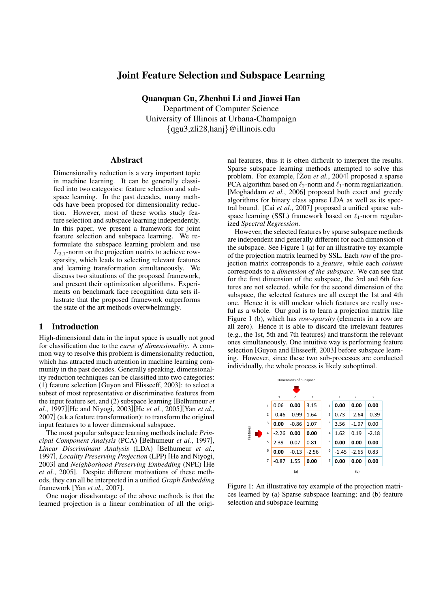# Joint Feature Selection and Subspace Learning

Quanquan Gu, Zhenhui Li and Jiawei Han Department of Computer Science University of Illinois at Urbana-Champaign *{*qgu3,zli28,hanj*}*@illinois.edu

### Abstract

Dimensionality reduction is a very important topic in machine learning. It can be generally classified into two categories: feature selection and subspace learning. In the past decades, many methods have been proposed for dimensionality reduction. However, most of these works study feature selection and subspace learning independently. In this paper, we present a framework for joint feature selection and subspace learning. We reformulate the subspace learning problem and use *L*2*,*1-norm on the projection matrix to achieve rowsparsity, which leads to selecting relevant features and learning transformation simultaneously. We discuss two situations of the proposed framework, and present their optimization algorithms. Experiments on benchmark face recognition data sets illustrate that the proposed framework outperforms the state of the art methods overwhelmingly.

### 1 Introduction

High-dimensional data in the input space is usually not good for classification due to the *curse of dimensionality*. A common way to resolve this problem is dimensionality reduction, which has attracted much attention in machine learning community in the past decades. Generally speaking, dimensionality reduction techniques can be classified into two categories: (1) feature selection [Guyon and Elisseeff, 2003]: to select a subset of most representative or discriminative features from the input feature set, and (2) subspace learning [Belhumeur *et al.*, 1997][He and Niyogi, 2003][He *et al.*, 2005][Yan *et al.*, 2007] (a.k.a feature transformation): to transform the original input features to a lower dimensional subspace.

The most popular subspace learning methods include *Principal Component Analysis* (PCA) [Belhumeur *et al.*, 1997], *Linear Discriminant Analysis* (LDA) [Belhumeur *et al.*, 1997], *Locality Preserving Projection* (LPP) [He and Niyogi, 2003] and *Neighborhood Preserving Embedding* (NPE) [He *et al.*, 2005]. Despite different motivations of these methods, they can all be interpreted in a unified *Graph Embedding* framework [Yan *et al.*, 2007].

One major disadvantage of the above methods is that the learned projection is a linear combination of all the original features, thus it is often difficult to interpret the results. Sparse subspace learning methods attempted to solve this problem. For example, [Zou *et al.*, 2004] proposed a sparse PCA algorithm based on  $\ell_2$ -norm and  $\ell_1$ -norm regularization. [Moghaddam *et al.*, 2006] proposed both exact and greedy algorithms for binary class sparse LDA as well as its spectral bound. [Cai *et al.*, 2007] proposed a unified sparse subspace learning (SSL) framework based on *ℓ*1-norm regularized *Spectral Regression*.

However, the selected features by sparse subspace methods are independent and generally different for each dimension of the subspace. See Figure 1 (a) for an illustrative toy example of the projection matrix learned by SSL. Each *row* of the projection matrix corresponds to a *feature*, while each *column* corresponds to a *dimension of the subspace*. We can see that for the first dimension of the subspace, the 3rd and 6th features are not selected, while for the second dimension of the subspace, the selected features are all except the 1st and 4th one. Hence it is still unclear which features are really useful as a whole. Our goal is to learn a projection matrix like Figure 1 (b), which has *row-sparsity* (elements in a row are all zero). Hence it is able to discard the irrelevant features (e.g., the 1st, 5th and 7th features) and transform the relevant ones simultaneously. One intuitive way is performing feature selection [Guyon and Elisseeff, 2003] before subspace learning. However, since these two sub-processes are conducted individually, the whole process is likely suboptimal.



Figure 1: An illustrative toy example of the projection matrices learned by (a) Sparse subspace learning; and (b) feature selection and subspace learning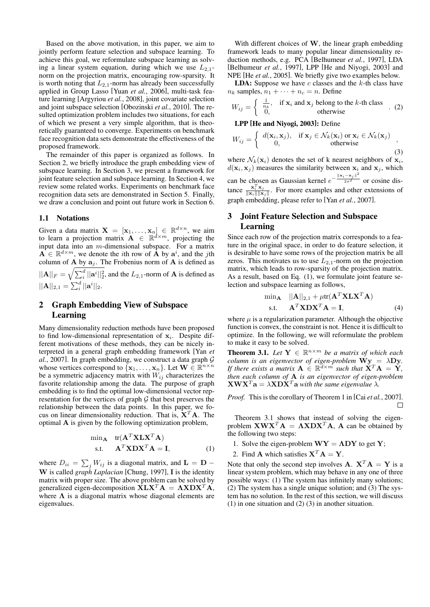Based on the above motivation, in this paper, we aim to jointly perform feature selection and subspace learning. To achieve this goal, we reformulate subspace learning as solving a linear system equation, during which we use  $L_{2,1}$ norm on the projection matrix, encouraging row-sparsity. It is worth noting that  $L_{2,1}$ -norm has already been successfully applied in Group Lasso [Yuan *et al.*, 2006], multi-task feature learning [Argyriou *et al.*, 2008], joint covariate selection and joint subspace selection [Obozinski *et al.*, 2010]. The resulted optimization problem includes two situations, for each of which we present a very simple algorithm, that is theoretically guaranteed to converge. Experiments on benchmark face recognition data sets demonstrate the effectiveness of the proposed framework.

The remainder of this paper is organized as follows. In Section 2, we briefly introduce the graph embedding view of subspace learning. In Section 3, we present a framework for joint feature selection and subspace learning. In Section 4, we review some related works. Experiments on benchmark face recognition data sets are demonstrated in Section 5. Finally, we draw a conclusion and point out future work in Section 6.

#### 1.1 Notations

Given a data matrix  $\mathbf{X} = [\mathbf{x}_1, \dots, \mathbf{x}_n] \in \mathbb{R}^{d \times n}$ , we aim to learn a projection matrix  $\mathbf{A} \in \mathbb{R}^{d \times m}$ , projecting the input data into an *m*-dimensional subspace. For a matrix  $\mathbf{A} \in \mathbb{R}^{d \times m}$ , we denote the *i*th row of  $\mathbf{A}$  by  $\mathbf{a}^i$ , and the *j*th column of **A** by  $a_j$ . The Frobenius norm of **A** is defined as  $||\mathbf{A}||_F = \sqrt{\sum_i^d ||\mathbf{a}^i||_2^2}$ , and the *L*<sub>2,1</sub>-norm of **A** is defined as  $||\mathbf{A}||_{2,1} = \sum_{i}^{d} ||\mathbf{a}^{i}||_{2}.$ 

# 2 Graph Embedding View of Subspace Learning

Many dimensionality reduction methods have been proposed to find low-dimensional representation of **x***<sup>i</sup>* . Despite different motivations of these methods, they can be nicely interpreted in a general graph embedding framework [Yan *et al.*, 2007]. In graph embedding, we construct a data graph *G* whose vertices correspond to  $\{x_1, \ldots, x_n\}$ . Let  $\mathbf{W} \in \mathbb{R}^{n \times n}$ be a symmetric adjacency matrix with  $W_{ij}$  characterizes the favorite relationship among the data. The purpose of graph embedding is to find the optimal low-dimensional vector representation for the vertices of graph *G* that best preserves the relationship between the data points. In this paper, we focus on linear dimensionality reduction. That is, **X***<sup>T</sup>* **A**. The optimal **A** is given by the following optimization problem,

$$
\min_{\mathbf{A}} \quad \text{tr}(\mathbf{A}^T \mathbf{X} \mathbf{L} \mathbf{X}^T \mathbf{A})
$$
  
s.t. 
$$
\mathbf{A}^T \mathbf{X} \mathbf{D} \mathbf{X}^T \mathbf{A} = \mathbf{I},
$$
 (1)

where  $D_{ii} = \sum_j W_{ij}$  is a diagonal matrix, and  $\mathbf{L} = \mathbf{D} - \sum_{i=1}^{n} \mathbf{L}$ **W** is called *graph Laplacian* [Chung, 1997], **I** is the identity matrix with proper size. The above problem can be solved by generalized eigen-decomposition  $X\mathbf{L}X^T\mathbf{A} = \Lambda X\mathbf{D}X^T\mathbf{A}$ , where  $\Lambda$  is a diagonal matrix whose diagonal elements are eigenvalues.

With different choices of **W**, the linear graph embedding framework leads to many popular linear dimensionality reduction methods, e.g. PCA [Belhumeur *et al.*, 1997], LDA [Belhumeur *et al.*, 1997], LPP [He and Niyogi, 2003] and NPE [He *et al.*, 2005]. We briefly give two examples below.

LDA: Suppose we have *c* classes and the *k*-th class have  $n_k$  samples,  $n_1 + \cdots + n_c = n$ . Define

$$
W_{ij} = \begin{cases} \frac{1}{n_k}, & \text{if } \mathbf{x}_i \text{ and } \mathbf{x}_j \text{ belong to the } k \text{-th class} \\ 0, & \text{otherwise} \end{cases} (2)
$$

#### LPP [He and Niyogi, 2003]: Define

$$
W_{ij} = \begin{cases} d(\mathbf{x}_i, \mathbf{x}_j), & \text{if } \mathbf{x}_j \in \mathcal{N}_k(\mathbf{x}_i) \text{ or } \mathbf{x}_i \in \mathcal{N}_k(\mathbf{x}_j) \\ 0, & \text{otherwise} \end{cases}
$$
 (3)

where  $\mathcal{N}_k(\mathbf{x}_i)$  denotes the set of k nearest neighbors of  $\mathbf{x}_i$ ,  $d(\mathbf{x}_i, \mathbf{x}_j)$  measures the similarity between  $\mathbf{x}_i$  and  $\mathbf{x}_j$ , which can be chosen as Gaussian kernel  $e^{-\frac{||\mathbf{x}_i - \mathbf{x}_j||^2}{2\sigma^2}}$  or cosine distance  $\frac{\mathbf{x}_i^T \mathbf{x}_j}{\|\mathbf{x}_i\|\|\mathbf{x}_j}$  $\frac{\mathbf{x}_i \cdot \mathbf{x}_j}{\|\mathbf{x}_i\| \|\mathbf{x}_j\|}$ . For more examples and other extensions of graph embedding, please refer to [Yan *et al.*, 2007].

# 3 Joint Feature Selection and Subspace Learning

Since each row of the projection matrix corresponds to a feature in the original space, in order to do feature selection, it is desirable to have some rows of the projection matrix be all zeros. This motivates us to use  $L_{2,1}$ -norm on the projection matrix, which leads to row-sparsity of the projection matrix. As a result, based on Eq. (1), we formulate joint feature selection and subspace learning as follows,

$$
\begin{aligned}\n\min_{\mathbf{A}} \quad & \|\mathbf{A}\|_{2,1} + \mu \text{tr}(\mathbf{A}^T \mathbf{X} \mathbf{L} \mathbf{X}^T \mathbf{A}) \\
\text{s.t.} \quad & \mathbf{A}^T \mathbf{X} \mathbf{D} \mathbf{X}^T \mathbf{A} = \mathbf{I},\n\end{aligned} \tag{4}
$$

where  $\mu$  is a regularization parameter. Although the objective function is convex, the constraint is not. Hence it is difficult to optimize. In the following, we will reformulate the problem to make it easy to be solved.

**Theorem 3.1.** Let  $Y \in \mathbb{R}^{n \times m}$  be a matrix of which each *column is an eigenvector of eigen-problem*  $\mathbf{Wy} = \lambda \mathbf{Dy}$ *. If there exists a matrix*  $A \in \mathbb{R}^{d \times m}$  *such that*  $X^T A = Y$ *, then each column of* **A** *is an eigenvector of eigen-problem*  $\mathbf{X}\mathbf{W}\mathbf{X}^T\mathbf{a} = \lambda \mathbf{X}\mathbf{D}\mathbf{X}^T\mathbf{a}$  *with the same eigenvalue*  $\lambda$ *.* 

*Proof.* This is the corollary of Theorem 1 in [Cai *et al.*, 2007].  $\Box$ 

Theorem 3.1 shows that instead of solving the eigenproblem  $\mathbf{X}\mathbf{W}\mathbf{X}^T\mathbf{A} = \mathbf{\Lambda}\mathbf{X}\mathbf{D}\mathbf{X}^T\mathbf{A}$ , A can be obtained by the following two steps:

- 1. Solve the eigen-problem  $WY = \Lambda DY$  to get Y;
- 2. Find **A** which satisfies  $X^T A = Y$ .

Note that only the second step involves  $\mathbf{A}$ .  $\mathbf{X}^T \mathbf{A} = \mathbf{Y}$  is a linear system problem, which may behave in any one of three possible ways: (1) The system has infinitely many solutions; (2) The system has a single unique solution; and (3) The system has no solution. In the rest of this section, we will discuss (1) in one situation and (2) (3) in another situation.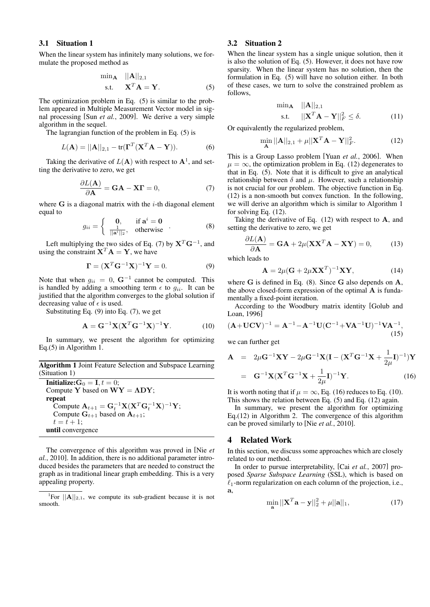# 3.1 Situation 1

When the linear system has infinitely many solutions, we formulate the proposed method as

$$
\begin{aligned}\n\min_{\mathbf{A}} \quad & \|\mathbf{A}\|_{2,1} \\
\text{s.t.} \quad & \mathbf{X}^T \mathbf{A} = \mathbf{Y}.\n\end{aligned} \tag{5}
$$

The optimization problem in Eq. (5) is similar to the problem appeared in Multiple Measurement Vector model in signal processing [Sun *et al.*, 2009]. We derive a very simple algorithm in the sequel.

The lagrangian function of the problem in Eq. (5) is

$$
L(\mathbf{A}) = ||\mathbf{A}||_{2,1} - tr(\mathbf{\Gamma}^T (\mathbf{X}^T \mathbf{A} - \mathbf{Y})).
$$
 (6)

Taking the derivative of  $L(A)$  with respect to  $A<sup>1</sup>$ , and setting the derivative to zero, we get

$$
\frac{\partial L(\mathbf{A})}{\partial \mathbf{A}} = \mathbf{G}\mathbf{A} - \mathbf{X}\mathbf{\Gamma} = 0, \tag{7}
$$

where **G** is a diagonal matrix with the *i*-th diagonal element equal to

$$
g_{ii} = \begin{cases} 0, & \text{if } \mathbf{a}^i = \mathbf{0} \\ \frac{1}{\|\mathbf{a}^i\|_2}, & \text{otherwise} \end{cases} (8)
$$

Left multiplying the two sides of Eq. (7) by **X***<sup>T</sup>* **G***−*<sup>1</sup> , and using the constraint  $X^T A = Y$ , we have

$$
\mathbf{\Gamma} = (\mathbf{X}^T \mathbf{G}^{-1} \mathbf{X})^{-1} \mathbf{Y} = 0.
$$
 (9)

Note that when  $g_{ii} = 0$ ,  $\mathbf{G}^{-1}$  cannot be computed. This is handled by adding a smoothing term  $\epsilon$  to  $g_{ii}$ . It can be justified that the algorithm converges to the global solution if decreasing value of  $\epsilon$  is used.

Substituting Eq. (9) into Eq. (7), we get

$$
\mathbf{A} = \mathbf{G}^{-1} \mathbf{X} (\mathbf{X}^T \mathbf{G}^{-1} \mathbf{X})^{-1} \mathbf{Y}.
$$
 (10)

In summary, we present the algorithm for optimizing Eq.(5) in Algorithm 1.

Algorithm 1 Joint Feature Selection and Subspace Learning (Situation 1)

**Initialize:**  $G_0 = I, t = 0;$ Compute **Y** based on  $WY = \Lambda DY$ ; repeat  $\text{Compute } \mathbf{A}_{t+1} = \mathbf{G}_t^{-1} \mathbf{X} (\mathbf{X}^T \mathbf{G}_t^{-1} \mathbf{X})^{-1} \mathbf{Y};$ Compute  $G_{t+1}$  based on  $A_{t+1}$ ;  $t = t + 1;$ until convergence

The convergence of this algorithm was proved in [Nie *et al.*, 2010]. In addition, there is no additional parameter introduced besides the parameters that are needed to construct the graph as in traditional linear graph embedding. This is a very appealing property.

# 3.2 Situation 2

When the linear system has a single unique solution, then it is also the solution of Eq. (5). However, it does not have row sparsity. When the linear system has no solution, then the formulation in Eq. (5) will have no solution either. In both of these cases, we turn to solve the constrained problem as follows,

$$
\begin{aligned}\n\min_{\mathbf{A}} \quad & \|\mathbf{A}\|_{2,1} \\
\text{s.t.} \quad & \|\mathbf{X}^T \mathbf{A} - \mathbf{Y}\|_F^2 \le \delta.\n\end{aligned} \tag{11}
$$

Or equivalently the regularized problem,

$$
\min_{\mathbf{A}} ||\mathbf{A}||_{2,1} + \mu ||\mathbf{X}^T \mathbf{A} - \mathbf{Y}||_F^2.
$$
 (12)

This is a Group Lasso problem [Yuan *et al.*, 2006]. When  $\mu = \infty$ , the optimization problem in Eq. (12) degenerates to that in Eq. (5). Note that it is difficult to give an analytical relationship between  $\delta$  and  $\mu$ . However, such a relationship is not crucial for our problem. The objective function in Eq. (12) is a non-smooth but convex function. In the following, we will derive an algorithm which is similar to Algorithm 1 for solving Eq. (12).

Taking the derivative of Eq. (12) with respect to **A**, and setting the derivative to zero, we get

$$
\frac{\partial L(\mathbf{A})}{\partial \mathbf{A}} = \mathbf{G}\mathbf{A} + 2\mu (\mathbf{X}\mathbf{X}^T \mathbf{A} - \mathbf{X}\mathbf{Y}) = 0, \quad (13)
$$

which leads to

$$
\mathbf{A} = 2\mu(\mathbf{G} + 2\mu \mathbf{X} \mathbf{X}^T)^{-1} \mathbf{X} \mathbf{Y},\tag{14}
$$

where **G** is defined in Eq. (8). Since **G** also depends on **A**, the above closed-form expression of the optimal **A** is fundamentally a fixed-point iteration.

According to the Woodbury matrix identity [Golub and Loan, 1996]

$$
(\mathbf{A} + \mathbf{U}\mathbf{C}\mathbf{V})^{-1} = \mathbf{A}^{-1} - \mathbf{A}^{-1}\mathbf{U}(\mathbf{C}^{-1} + \mathbf{V}\mathbf{A}^{-1}\mathbf{U})^{-1}\mathbf{V}\mathbf{A}^{-1},
$$
\n(15)

we can further get

$$
\mathbf{A} = 2\mu \mathbf{G}^{-1} \mathbf{X} \mathbf{Y} - 2\mu \mathbf{G}^{-1} \mathbf{X} (\mathbf{I} - (\mathbf{X}^T \mathbf{G}^{-1} \mathbf{X} + \frac{1}{2\mu} \mathbf{I})^{-1}) \mathbf{Y}
$$

$$
= \mathbf{G}^{-1} \mathbf{X} (\mathbf{X}^T \mathbf{G}^{-1} \mathbf{X} + \frac{1}{2\mu} \mathbf{I})^{-1} \mathbf{Y}.
$$
(16)

It is worth noting that if  $\mu = \infty$ , Eq. (16) reduces to Eq. (10). This shows the relation between Eq. (5) and Eq. (12) again.

In summary, we present the algorithm for optimizing Eq. $(12)$  in Algorithm 2. The convergence of this algorithm can be proved similarly to [Nie *et al.*, 2010].

# 4 Related Work

In this section, we discuss some approaches which are closely related to our method.

In order to pursue interpretability, [Cai *et al.*, 2007] proposed *Sparse Subspace Learning* (SSL), which is based on *ℓ*1-norm regularization on each column of the projection, i.e., **a**,

$$
\min_{\mathbf{a}} \|\mathbf{X}^T \mathbf{a} - \mathbf{y}\|_2^2 + \mu \|\mathbf{a}\|_1,\tag{17}
$$

<sup>&</sup>lt;sup>1</sup>For  $||A||_{2,1}$ , we compute its sub-gradient because it is not smooth.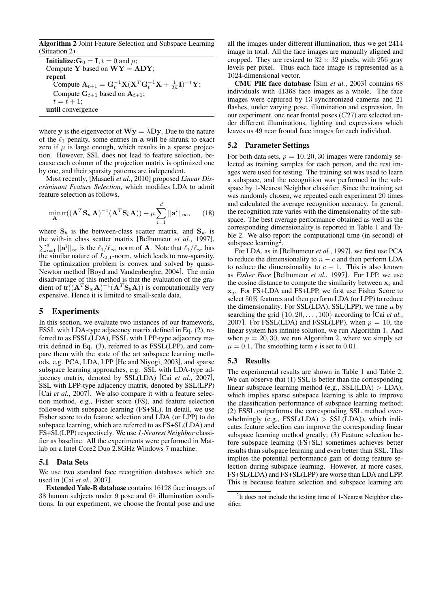Algorithm 2 Joint Feature Selection and Subspace Learning (Situation 2)

**Initialize:**  $G_0 = I, t = 0$  and  $\mu$ ; Compute **Y** based on  $WY = \Lambda DY$ ; repeat  $\text{Compute } \mathbf{A}_{t+1} = \mathbf{G}_t^{-1} \mathbf{X} (\mathbf{X}^T \mathbf{G}_t^{-1} \mathbf{X} + \frac{1}{2\mu} \mathbf{I})^{-1} \mathbf{Y};$ Compute  $G_{t+1}$  based on  $A_{t+1}$ ;  $t = t + 1;$ until convergence

where **y** is the eigenvector of  $\mathbf{W}\mathbf{y} = \lambda \mathbf{D}\mathbf{y}$ . Due to the nature of the *ℓ*<sup>1</sup> penalty, some entries in **a** will be shrunk to exact zero if  $\mu$  is large enough, which results in a sparse projection. However, SSL does not lead to feature selection, because each column of the projection matrix is optimized one by one, and their sparsity patterns are independent.

Most recently, [Masaeli *et al.*, 2010] proposed *Linear Discriminant Feature Selection*, which modifies LDA to admit feature selection as follows,

$$
\min_{\mathbf{A}} \text{tr}((\mathbf{A}^T \mathbf{S}_w \mathbf{A})^{-1} (\mathbf{A}^T \mathbf{S}_b \mathbf{A})) + \mu \sum_{i=1}^d ||\mathbf{a}^i||_{\infty}, \qquad (18)
$$

where  $S_b$  is the between-class scatter matrix, and  $S_w$  is the with-in class scatter matrix ∑ *e* with in class scatter matrix [Belhumeur *et al.*, 1997],  $\frac{d}{dt}$   $||\mathbf{a}^i||_{\infty}$  is the  $\ell_1/\ell_{\infty}$  norm of **A**. Note that  $\ell_1/\ell_{\infty}$  has the similar nature of  $L_{2,1}$ -norm, which leads to row-sparsity. The optimization problem is convex and solved by quasi-Newton method [Boyd and Vandenberghe, 2004]. The main disadvantage of this method is that the evaluation of the gradient of tr( $(\mathbf{A}^T \mathbf{S}_w \mathbf{A})^{-1} (\mathbf{A}^T \mathbf{S}_b \mathbf{A}))$  is computationally very expensive. Hence it is limited to small-scale data.

# 5 Experiments

In this section, we evaluate two instances of our framework, FSSL with LDA-type adjacency matrix defined in Eq. (2), referred to as FSSL(LDA), FSSL with LPP-type adjacency matrix defined in Eq. (3), referred to as FSSL(LPP), and compare them with the state of the art subspace learning methods, e.g. PCA, LDA, LPP [He and Niyogi, 2003], and sparse subspace learning approaches, e.g. SSL with LDA-type adjacency matrix, denoted by SSL(LDA) [Cai *et al.*, 2007], SSL with LPP-type adjacency matrix, denoted by SSL(LPP) [Cai *et al.*, 2007]. We also compare it with a feature selection method, e.g., Fisher score (FS), and feature selection followed with subspace learning (FS+SL). In detail, we use Fisher score to do feature selection and LDA (or LPP) to do subspace learning, which are referred to as FS+SL(LDA) and FS+SL(LPP) respectively. We use *1-Nearest Neighbor* classifier as baseline. All the experiments were performed in Matlab on a Intel Core2 Duo 2.8GHz Windows 7 machine.

#### 5.1 Data Sets

We use two standard face recognition databases which are used in [Cai *et al.*, 2007].

Extended Yale-B database contains 16128 face images of 38 human subjects under 9 pose and 64 illumination conditions. In our experiment, we choose the frontal pose and use

all the images under different illumination, thus we get 2414 image in total. All the face images are manually aligned and cropped. They are resized to  $32 \times 32$  pixels, with 256 gray levels per pixel. Thus each face image is represented as a 1024-dimensional vector.

CMU PIE face database [Sim *et al.*, 2003] contains 68 individuals with 41368 face images as a whole. The face images were captured by 13 synchronized cameras and 21 flashes, under varying pose, illumination and expression. In our experiment, one near frontal poses (*C*27) are selected under different illuminations, lighting and expressions which leaves us 49 near frontal face images for each individual.

#### 5.2 Parameter Settings

For both data sets,  $p = 10, 20, 30$  images were randomly selected as training samples for each person, and the rest images were used for testing. The training set was used to learn a subspace, and the recognition was performed in the subspace by 1-Nearest Neighbor classifier. Since the training set was randomly chosen, we repeated each experiment 20 times and calculated the average recognition accuracy. In general, the recognition rate varies with the dimensionality of the subspace. The best average performance obtained as well as the corresponding dimensionality is reported in Table 1 and Table 2. We also report the computational time (in second) of subspace learning<sup>2</sup>.

For LDA, as in [Belhumeur *et al.*, 1997], we first use PCA to reduce the dimensionality to  $n - c$  and then perform LDA to reduce the dimensionality to  $c - 1$ . This is also known as *Fisher Face* [Belhumeur *et al.*, 1997]. For LPP, we use the cosine distance to compute the similarity between  $x_i$  and **x***<sup>j</sup>* . For FS+LDA and FS+LPP, we first use Fisher Score to select 50% features and then perform LDA (or LPP) to reduce the dimensionality. For SSL(LDA), SSL(LPP), we tune  $\mu$  by searching the grid *{*10*,* 20*, . . . ,* 100*}* according to [Cai *et al.*, 2007]. For FSSL(LDA) and FSSL(LPP), when  $p = 10$ , the linear system has infinite solution, we run Algorithm 1. And when  $p = 20, 30$ , we run Algorithm 2, where we simply set  $\mu = 0.1$ . The smoothing term  $\epsilon$  is set to 0.01.

# 5.3 Results

The experimental results are shown in Table 1 and Table 2. We can observe that (1) SSL is better than the corresponding linear subspace learning method (e.g., SSL(LDA) *>* LDA), which implies sparse subspace learning is able to improve the classification performance of subspace learning method; (2) FSSL outperforms the corresponding SSL method overwhelmingly (e.g., FSSL(LDA) *>* SSL(LDA)), which indicates feature selection can improve the corresponding linear subspace learning method greatly; (3) Feature selection before subspace learning (FS+SL) sometimes achieves better results than subspace learning and even better than SSL. This implies the potential performance gain of doing feature selection during subspace learning. However, at more cases, FS+SL(LDA) and FS+SL(LPP) are worse than LDA and LPP. This is because feature selection and subspace learning are

<sup>&</sup>lt;sup>2</sup>It does not include the testing time of 1-Nearest Neighbor classifier.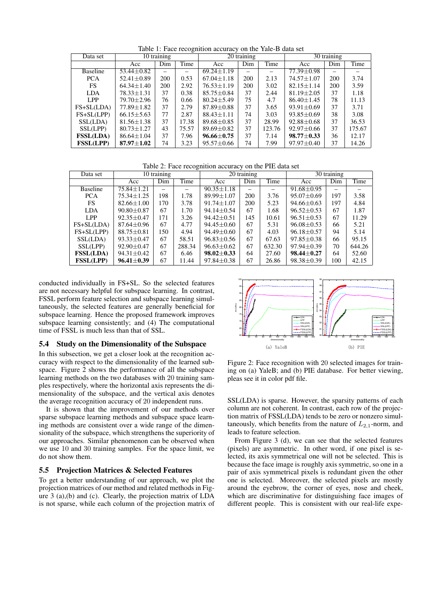| Data set         | 10 training      |     |       | $20$ training    |     |        | 30 training      |     |        |
|------------------|------------------|-----|-------|------------------|-----|--------|------------------|-----|--------|
|                  | Acc              | Dim | Time  | Acc              | Dim | Time   | Acc              | Dim | Time   |
| <b>Baseline</b>  | $53.44 \pm 0.82$ |     |       | $69.24 \pm 1.19$ |     |        | 77.39±0.98       |     |        |
| <b>PCA</b>       | $52.41 \pm 0.89$ | 200 | 0.53  | $67.04 \pm 1.18$ | 200 | 2.13   | $74.57 \pm 1.07$ | 200 | 3.74   |
| FS               | $64.34 \pm 1.40$ | 200 | 2.92  | $76.53 \pm 1.19$ | 200 | 3.02   | $82.15 \pm 1.14$ | 200 | 3.59   |
| <b>LDA</b>       | $78.33 \pm 1.31$ | 37  | 0.38  | $85.75 \pm 0.84$ | 37  | 2.44   | $81.19 \pm 2.05$ | 37  | 1.18   |
| <b>LPP</b>       | 79.70 ± 2.96     | 76  | 0.66  | $80.24 \pm 5.49$ | 75  | 4.7    | $86.40 \pm 1.45$ | 78  | 11.13  |
| $FS+SL(LDA)$     | $77.89 \pm 1.82$ | 37  | 2.79  | $87.89 \pm 0.88$ | 37  | 3.65   | $93.91 \pm 0.69$ | 37  | 3.71   |
| $FS+SL(LPP)$     | $66.15 \pm 5.63$ | 77  | 2.87  | $88.43 \pm 1.11$ | 74  | 3.03   | $93.85 \pm 0.69$ | 38  | 3.08   |
| SSL(LDA)         | $81.56 \pm 1.38$ | 37  | 17.38 | $89.68 \pm 0.85$ | 37  | 28.99  | $92.88 \pm 0.68$ | 37  | 36.53  |
| SSL(LPP)         | $80.73 \pm 1.27$ | 43  | 75.57 | 89.69 $\pm$ 0.82 | 37  | 123.76 | $92.97 \pm 0.66$ | 37  | 175.67 |
| <b>FSSL(LDA)</b> | $86.64 \pm 1.04$ | 37  | 7.96  | $96.66 \pm 0.75$ | 37  | 7.14   | $98.77 \pm 0.33$ | 36  | 12.17  |
| <b>FSSL(LPP)</b> | $87.97 \pm 1.02$ | 74  | 3.23  | $95.57 \pm 0.66$ | 74  | 7.99   | $97.97 \pm 0.40$ | 37  | 14.26  |
|                  |                  |     |       |                  |     |        |                  |     |        |

Table 1: Face recognition accuracy on the Yale-B data set

Table 2: Face recognition accuracy on the PIE data set

| Data set         | 10 training      |     |        | 20 training      |     |        | 30 training      |     |        |
|------------------|------------------|-----|--------|------------------|-----|--------|------------------|-----|--------|
|                  | Acc              | Dim | Time   | Acc              | Dim | Time   | Acc              | Dim | Time   |
| <b>Baseline</b>  | 75.84±1.21       |     |        | $90.35 \pm 1.18$ |     |        | $91.68 \pm 0.95$ |     |        |
| <b>PCA</b>       | $75.34 \pm 1.25$ | 198 | 1.78   | $89.99 \pm 1.07$ | 200 | 3.76   | $95.07 \pm 0.69$ | 197 | 3.58   |
| FS               | $82.66 \pm 1.00$ | 170 | 3.78   | $91.74 \pm 1.07$ | 200 | 5.23   | $94.66 \pm 0.63$ | 197 | 4.84   |
| <b>LDA</b>       | $90.80 \pm 0.87$ | 67  | 1.70   | $94.14 \pm 0.54$ | 67  | 1.68   | $96.52 \pm 0.53$ | 67  | 1.87   |
| LPP              | $92.35 \pm 0.47$ | 171 | 3.26   | $94.42 \pm 0.51$ | 145 | 10.61  | $96.51 \pm 0.53$ | 67  | 11.29  |
| $FS+SL(LDA)$     | $87.64 \pm 0.96$ | 67  | 4.77   | $94.45 \pm 0.60$ | 67  | 5.31   | $96.08 \pm 0.53$ | 66  | 5.21   |
| $FS+SL(LPP)$     | $88.75 \pm 0.81$ | 150 | 4.94   | $94.49 \pm 0.60$ | 67  | 4.03   | $96.18 \pm 0.57$ | 94  | 5.14   |
| SSL(LDA)         | $93.33 \pm 0.47$ | 67  | 58.51  | $96.83 \pm 0.56$ | 67  | 67.63  | $97.85 \pm 0.38$ | 66  | 95.15  |
| SSL(LPP)         | $92.90 \pm 0.47$ | 67  | 288.34 | $96.63 \pm 0.62$ | 67  | 632.30 | $97.94 \pm 0.39$ | 70  | 644.26 |
| <b>FSSL(LDA)</b> | $94.31 \pm 0.42$ | 67  | 6.46   | $98.02 \pm 0.33$ | 64  | 27.60  | $98.44 \pm 0.27$ | 64  | 52.60  |
| <b>FSSL(LPP)</b> | $96.41 \pm 0.39$ | 67  | 11.44  | $97.84 \pm 0.38$ | 67  | 26.86  | $98.38 \pm 0.39$ | 100 | 42.15  |

conducted individually in FS+SL. So the selected features are not necessary helpful for subspace learning. In contrast, FSSL perform feature selection and subspace learning simultaneously, the selected features are generally beneficial for subspace learning. Hence the proposed framework improves subspace learning consistently; and (4) The computational time of FSSL is much less than that of SSL.

## 5.4 Study on the Dimensionality of the Subspace

In this subsection, we get a closer look at the recognition accuracy with respect to the dimensionality of the learned subspace. Figure 2 shows the performance of all the subspace learning methods on the two databases with 20 training samples respectively, where the horizontal axis represents the dimensionality of the subspace, and the vertical axis denotes the average recognition accuracy of 20 independent runs.

It is shown that the improvement of our methods over sparse subspace learning methods and subspace space learning methods are consistent over a wide range of the dimensionality of the subspace, which strengthens the superiority of our approaches. Similar phenomenon can be observed when we use 10 and 30 training samples. For the space limit, we do not show them.

# 5.5 Projection Matrices & Selected Features

To get a better understanding of our approach, we plot the projection matrices of our method and related methods in Figure 3 (a),(b) and (c). Clearly, the projection matrix of LDA is not sparse, while each column of the projection matrix of



Figure 2: Face recognition with 20 selected images for training on (a) YaleB; and (b) PIE database. For better viewing, pleas see it in color pdf file.

SSL(LDA) is sparse. However, the sparsity patterns of each column are not coherent. In contrast, each row of the projection matrix of FSSL(LDA) tends to be zero or nonzero simultaneously, which benefits from the nature of  $L_{2,1}$ -norm, and leads to feature selection.

From Figure 3 (d), we can see that the selected features (pixels) are asymmetric. In other word, if one pixel is selected, its axis symmetrical one will not be selected. This is because the face image is roughly axis symmetric, so one in a pair of axis symmetrical pixels is redundant given the other one is selected. Moreover, the selected pixels are mostly around the eyebrow, the corner of eyes, nose and cheek, which are discriminative for distinguishing face images of different people. This is consistent with our real-life expe-